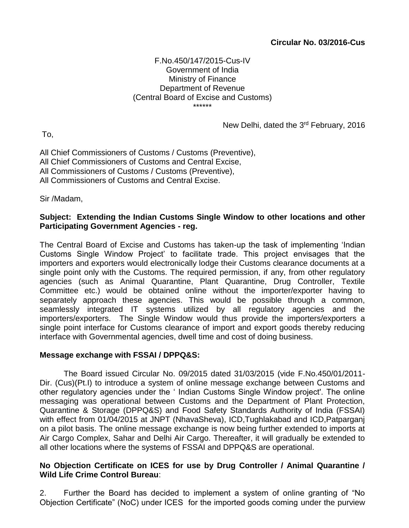### **Circular No. 03/2016-Cus**

#### F.No.450/147/2015-Cus-IV Government of India Ministry of Finance Department of Revenue (Central Board of Excise and Customs) \*\*\*\*\*\*

To,

New Delhi, dated the 3<sup>rd</sup> February, 2016

All Chief Commissioners of Customs / Customs (Preventive), All Chief Commissioners of Customs and Central Excise, All Commissioners of Customs / Customs (Preventive), All Commissioners of Customs and Central Excise.

Sir /Madam,

## **Subject: Extending the Indian Customs Single Window to other locations and other Participating Government Agencies - reg.**

The Central Board of Excise and Customs has taken-up the task of implementing 'Indian Customs Single Window Project' to facilitate trade. This project envisages that the importers and exporters would electronically lodge their Customs clearance documents at a single point only with the Customs. The required permission, if any, from other regulatory agencies (such as Animal Quarantine, Plant Quarantine, Drug Controller, Textile Committee etc.) would be obtained online without the importer/exporter having to separately approach these agencies. This would be possible through a common, seamlessly integrated IT systems utilized by all regulatory agencies and the importers/exporters. The Single Window would thus provide the importers/exporters a single point interface for Customs clearance of import and export goods thereby reducing interface with Governmental agencies, dwell time and cost of doing business.

#### **Message exchange with FSSAI / DPPQ&S:**

The Board issued Circular No. 09/2015 dated 31/03/2015 (vide F.No.450/01/2011- Dir. (Cus)(Pt.I) to introduce a system of online message exchange between Customs and other regulatory agencies under the ' Indian Customs Single Window project'. The online messaging was operational between Customs and the Department of Plant Protection, Quarantine & Storage (DPPQ&S) and Food Safety Standards Authority of India (FSSAI) with effect from 01/04/2015 at JNPT (NhavaSheva), ICD,Tughlakabad and ICD,Patparganj on a pilot basis. The online message exchange is now being further extended to imports at Air Cargo Complex, Sahar and Delhi Air Cargo. Thereafter, it will gradually be extended to all other locations where the systems of FSSAI and DPPQ&S are operational.

### **No Objection Certificate on ICES for use by Drug Controller / Animal Quarantine / Wild Life Crime Control Bureau**:

2. Further the Board has decided to implement a system of online granting of "No Objection Certificate" (NoC) under ICES for the imported goods coming under the purview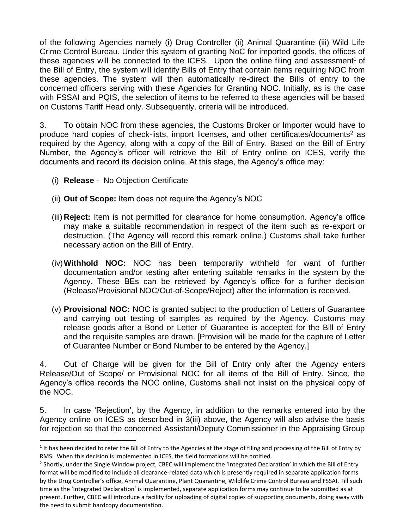of the following Agencies namely (i) Drug Controller (ii) Animal Quarantine (iii) Wild Life Crime Control Bureau. Under this system of granting NoC for imported goods, the offices of these agencies will be connected to the ICES. Upon the online filing and assessment<sup>1</sup> of the Bill of Entry, the system will identify Bills of Entry that contain items requiring NOC from these agencies. The system will then automatically re-direct the Bills of entry to the concerned officers serving with these Agencies for Granting NOC. Initially, as is the case with FSSAI and PQIS, the selection of items to be referred to these agencies will be based on Customs Tariff Head only. Subsequently, criteria will be introduced.

3. To obtain NOC from these agencies, the Customs Broker or Importer would have to produce hard copies of check-lists, import licenses, and other certificates/documents<sup>2</sup> as required by the Agency, along with a copy of the Bill of Entry. Based on the Bill of Entry Number, the Agency's officer will retrieve the Bill of Entry online on ICES, verify the documents and record its decision online. At this stage, the Agency's office may:

(i) **Release** - No Objection Certificate

1

- (ii) **Out of Scope:** Item does not require the Agency's NOC
- (iii) **Reject:** Item is not permitted for clearance for home consumption. Agency's office may make a suitable recommendation in respect of the item such as re-export or destruction. (The Agency will record this remark online.) Customs shall take further necessary action on the Bill of Entry.
- (iv)**Withhold NOC:** NOC has been temporarily withheld for want of further documentation and/or testing after entering suitable remarks in the system by the Agency. These BEs can be retrieved by Agency's office for a further decision (Release/Provisional NOC/Out-of-Scope/Reject) after the information is received.
- (v) **Provisional NOC:** NOC is granted subject to the production of Letters of Guarantee and carrying out testing of samples as required by the Agency. Customs may release goods after a Bond or Letter of Guarantee is accepted for the Bill of Entry and the requisite samples are drawn. [Provision will be made for the capture of Letter of Guarantee Number or Bond Number to be entered by the Agency.]

4. Out of Charge will be given for the Bill of Entry only after the Agency enters Release/Out of Scope/ or Provisional NOC for all items of the Bill of Entry. Since, the Agency's office records the NOC online, Customs shall not insist on the physical copy of the NOC.

5. In case 'Rejection', by the Agency, in addition to the remarks entered into by the Agency online on ICES as described in 3(iii) above, the Agency will also advise the basis for rejection so that the concerned Assistant/Deputy Commissioner in the Appraising Group

 $1$  It has been decided to refer the Bill of Entry to the Agencies at the stage of filing and processing of the Bill of Entry by RMS. When this decision is implemented in ICES, the field formations will be notified.

<sup>&</sup>lt;sup>2</sup> Shortly, under the Single Window project, CBEC will implement the 'Integrated Declaration' in which the Bill of Entry format will be modified to include all clearance-related data which is presently required in separate application forms by the Drug Controller's office, Animal Quarantine, Plant Quarantine, Wildlife Crime Control Bureau and FSSAI. Till such time as the 'Integrated Declaration' is implemented, separate application forms may continue to be submitted as at present. Further, CBEC will introduce a facility for uploading of digital copies of supporting documents, doing away with the need to submit hardcopy documentation.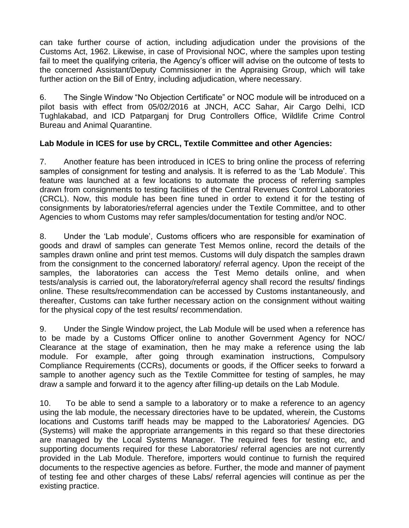can take further course of action, including adjudication under the provisions of the Customs Act, 1962. Likewise, in case of Provisional NOC, where the samples upon testing fail to meet the qualifying criteria, the Agency's officer will advise on the outcome of tests to the concerned Assistant/Deputy Commissioner in the Appraising Group, which will take further action on the Bill of Entry, including adjudication, where necessary.

6. The Single Window "No Objection Certificate" or NOC module will be introduced on a pilot basis with effect from 05/02/2016 at JNCH, ACC Sahar, Air Cargo Delhi, ICD Tughlakabad, and ICD Patparganj for Drug Controllers Office, Wildlife Crime Control Bureau and Animal Quarantine.

# **Lab Module in ICES for use by CRCL, Textile Committee and other Agencies:**

7. Another feature has been introduced in ICES to bring online the process of referring samples of consignment for testing and analysis. It is referred to as the 'Lab Module'. This feature was launched at a few locations to automate the process of referring samples drawn from consignments to testing facilities of the Central Revenues Control Laboratories (CRCL). Now, this module has been fine tuned in order to extend it for the testing of consignments by laboratories/referral agencies under the Textile Committee, and to other Agencies to whom Customs may refer samples/documentation for testing and/or NOC.

8. Under the 'Lab module', Customs officers who are responsible for examination of goods and drawl of samples can generate Test Memos online, record the details of the samples drawn online and print test memos. Customs will duly dispatch the samples drawn from the consignment to the concerned laboratory/ referral agency. Upon the receipt of the samples, the laboratories can access the Test Memo details online, and when tests/analysis is carried out, the laboratory/referral agency shall record the results/ findings online. These results/recommendation can be accessed by Customs instantaneously, and thereafter, Customs can take further necessary action on the consignment without waiting for the physical copy of the test results/ recommendation.

9. Under the Single Window project, the Lab Module will be used when a reference has to be made by a Customs Officer online to another Government Agency for NOC/ Clearance at the stage of examination, then he may make a reference using the lab module. For example, after going through examination instructions, Compulsory Compliance Requirements (CCRs), documents or goods, if the Officer seeks to forward a sample to another agency such as the Textile Committee for testing of samples, he may draw a sample and forward it to the agency after filling-up details on the Lab Module.

10. To be able to send a sample to a laboratory or to make a reference to an agency using the lab module, the necessary directories have to be updated, wherein, the Customs locations and Customs tariff heads may be mapped to the Laboratories/ Agencies. DG (Systems) will make the appropriate arrangements in this regard so that these directories are managed by the Local Systems Manager. The required fees for testing etc, and supporting documents required for these Laboratories/ referral agencies are not currently provided in the Lab Module. Therefore, importers would continue to furnish the required documents to the respective agencies as before. Further, the mode and manner of payment of testing fee and other charges of these Labs/ referral agencies will continue as per the existing practice.